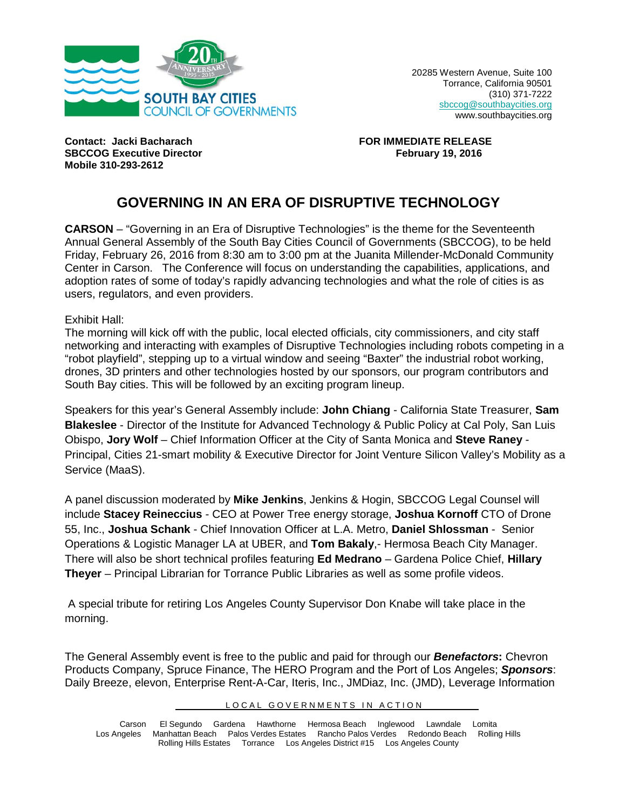

20285 Western Avenue, Suite 100 Torrance, California 90501 (310) 371-7222 [sbccog@southbaycities.org](mailto:sbccog@southbaycities.org) www.southbaycities.org

**Contact: Jacki Bacharach FOR IMMEDIATE RELEASE SBCCOG Executive Director Mobile 310-293-2612**

## **GOVERNING IN AN ERA OF DISRUPTIVE TECHNOLOGY**

**CARSON** – "Governing in an Era of Disruptive Technologies" is the theme for the Seventeenth Annual General Assembly of the South Bay Cities Council of Governments (SBCCOG), to be held Friday, February 26, 2016 from 8:30 am to 3:00 pm at the Juanita Millender-McDonald Community Center in Carson. The Conference will focus on understanding the capabilities, applications, and adoption rates of some of today's rapidly advancing technologies and what the role of cities is as users, regulators, and even providers.

Exhibit Hall:

The morning will kick off with the public, local elected officials, city commissioners, and city staff networking and interacting with examples of Disruptive Technologies including robots competing in a "robot playfield", stepping up to a virtual window and seeing "Baxter" the industrial robot working, drones, 3D printers and other technologies hosted by our sponsors, our program contributors and South Bay cities. This will be followed by an exciting program lineup.

Speakers for this year's General Assembly include: **John Chiang** - California State Treasurer, **Sam Blakeslee** - Director of the Institute for Advanced Technology & Public Policy at Cal Poly, San Luis Obispo, **Jory Wolf** – Chief Information Officer at the City of Santa Monica and **Steve Raney** - Principal, Cities 21-smart mobility & Executive Director for Joint Venture Silicon Valley's Mobility as a Service (MaaS).

A panel discussion moderated by **Mike Jenkins**, Jenkins & Hogin, SBCCOG Legal Counsel will include **Stacey Reineccius** - CEO at Power Tree energy storage, **Joshua Kornoff** CTO of Drone 55, Inc., **Joshua Schank** - Chief Innovation Officer at L.A. Metro, **Daniel Shlossman** - Senior Operations & Logistic Manager LA at UBER, and **Tom Bakaly**,- Hermosa Beach City Manager. There will also be short technical profiles featuring **Ed Medrano** – Gardena Police Chief, **Hillary Theyer** – Principal Librarian for Torrance Public Libraries as well as some profile videos.

A special tribute for retiring Los Angeles County Supervisor Don Knabe will take place in the morning.

The General Assembly event is free to the public and paid for through our *Benefactors***:** Chevron Products Company, Spruce Finance, The HERO Program and the Port of Los Angeles; *Sponsors*: Daily Breeze, elevon, Enterprise Rent-A-Car, Iteris, Inc., JMDiaz, Inc. (JMD), Leverage Information

LOCAL GOVERNMENTS IN ACTION